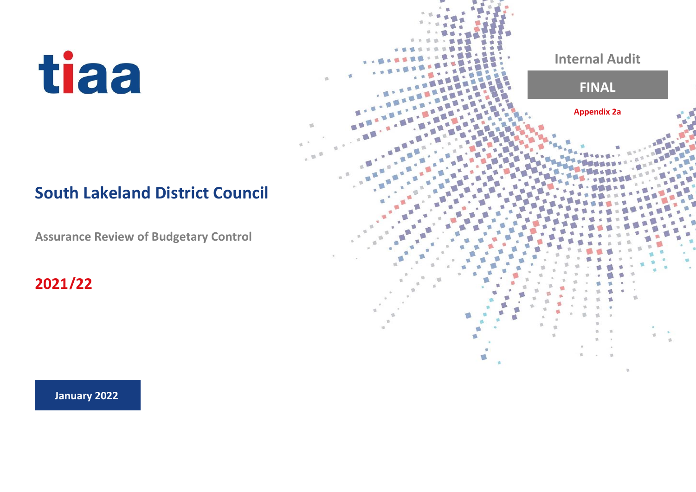## **South Lakeland District Council**

 $\overline{\mathfrak{m}}$ 

**Assurance Review of Budgetary Control**

**2021/22**

**Internal Audit FINAL Appendix 2a**

**January 2022**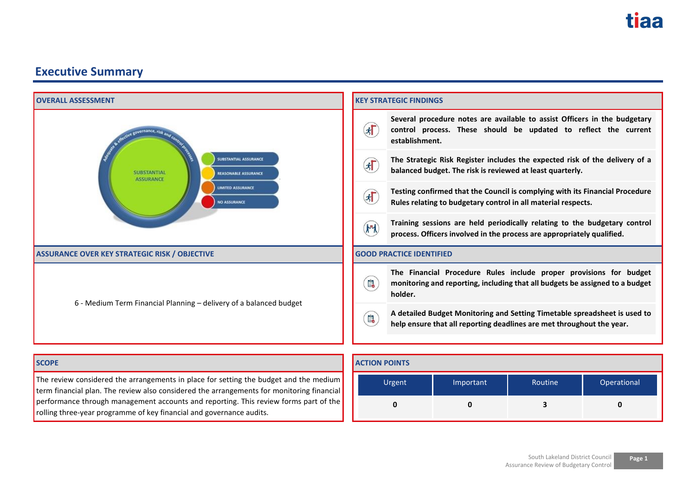

term financial plan. The review also considered the arrangements for monitoring financial performance through management accounts and reporting. This review forms part of the rolling three-year programme of key financial and governance audits.

**0 0 3 0**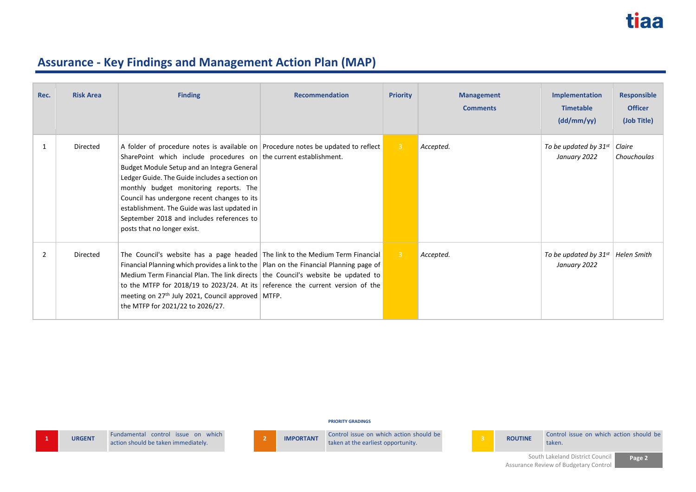| Rec. | <b>Risk Area</b> | <b>Finding</b>                                                                                                                                                                                                                                                                                                                                                                                                                                                             | <b>Recommendation</b> | <b>Priority</b> | <b>Management</b><br><b>Comments</b> | Implementation<br><b>Timetable</b><br>(dd/mm/yy) | <b>Responsible</b><br><b>Officer</b><br>(Job Title) |
|------|------------------|----------------------------------------------------------------------------------------------------------------------------------------------------------------------------------------------------------------------------------------------------------------------------------------------------------------------------------------------------------------------------------------------------------------------------------------------------------------------------|-----------------------|-----------------|--------------------------------------|--------------------------------------------------|-----------------------------------------------------|
|      | Directed         | A folder of procedure notes is available on Procedure notes be updated to reflect<br>SharePoint which include procedures on the current establishment.<br>Budget Module Setup and an Integra General<br>Ledger Guide. The Guide includes a section on<br>monthly budget monitoring reports. The<br>Council has undergone recent changes to its<br>establishment. The Guide was last updated in<br>September 2018 and includes references to<br>posts that no longer exist. |                       | 3 <sup>°</sup>  | Accepted.                            | To be updated by $31^{st}$<br>January 2022       | Claire<br>Chouchoulas                               |
| 2    | Directed         | The Council's website has a page headed The link to the Medium Term Financial<br>Financial Planning which provides a link to the $ $ Plan on the Financial Planning page of<br>Medium Term Financial Plan. The link directs the Council's website be updated to<br>to the MTFP for 2018/19 to 2023/24. At its reference the current version of the<br>meeting on 27 <sup>th</sup> July 2021, Council approved MTFP.<br>the MTFP for 2021/22 to 2026/27.                    |                       | $\overline{3}$  | Accepted.                            | To be updated by $31^{st}$<br>January 2022       | Helen Smith                                         |

**PRIORITY GRADINGS**

**1 URGENT E LEADER Fundamental control** issue on which **action** should be taken immediately.



Fundamental control issue on which **2 IMPORTANT** Control issue on which action should be **taken** at the earliest opportunity. **3 ROUTINE** Control issue on which action should be taken. taken.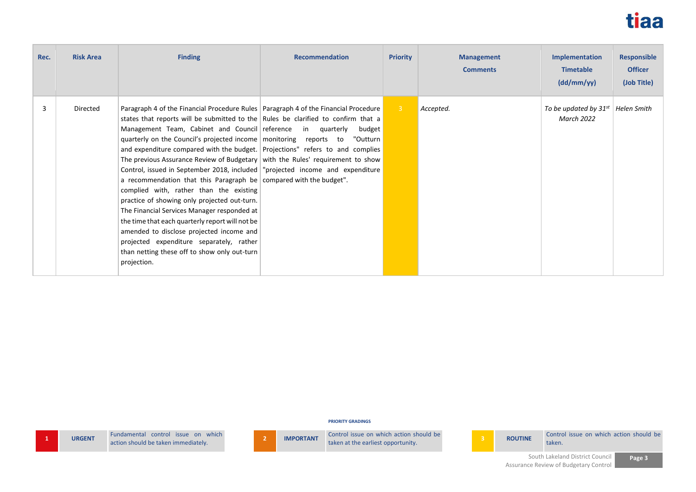

| Rec. | <b>Risk Area</b> | <b>Finding</b>                                                                                                                                                                                                                                                                                                                                                                                                                                                                                                                                                                                                                                                                                                                                                                                                                                                                                                                                                                                 | <b>Recommendation</b> | <b>Priority</b> | <b>Management</b><br><b>Comments</b> | <b>Implementation</b><br><b>Timetable</b><br>(dd/mm/yy) | <b>Responsible</b><br><b>Officer</b><br>(Job Title) |
|------|------------------|------------------------------------------------------------------------------------------------------------------------------------------------------------------------------------------------------------------------------------------------------------------------------------------------------------------------------------------------------------------------------------------------------------------------------------------------------------------------------------------------------------------------------------------------------------------------------------------------------------------------------------------------------------------------------------------------------------------------------------------------------------------------------------------------------------------------------------------------------------------------------------------------------------------------------------------------------------------------------------------------|-----------------------|-----------------|--------------------------------------|---------------------------------------------------------|-----------------------------------------------------|
| 3    | Directed         | Paragraph 4 of the Financial Procedure Rules   Paragraph 4 of the Financial Procedure<br>states that reports will be submitted to the Rules be clarified to confirm that a<br>Management Team, Cabinet and Council reference in quarterly<br>quarterly on the Council's projected income monitoring reports to<br>and expenditure compared with the budget. Projections" refers to and complies<br>The previous Assurance Review of Budgetary with the Rules' requirement to show<br>Control, issued in September 2018, included   "projected income and expenditure<br>a recommendation that this Paragraph be compared with the budget".<br>complied with, rather than the existing<br>practice of showing only projected out-turn.<br>The Financial Services Manager responded at<br>the time that each quarterly report will not be<br>amended to disclose projected income and<br>projected expenditure separately, rather<br>than netting these off to show only out-turn<br>projection. | budget<br>"Outturn    | $-3$            | Accepted.                            | To be updated by $31^{st}$<br><b>March 2022</b>         | Helen Smith                                         |

**PRIORITY GRADINGS**

**1 URGENT E E E E Fundamental** control issue on which action should be taken immediately.



Fundamental control issue on which **2 IMPORTANT** Control issue on which action should be **taken** at the earliest opportunity. **3 ROUTINE** Control issue on which action should be taken. taken.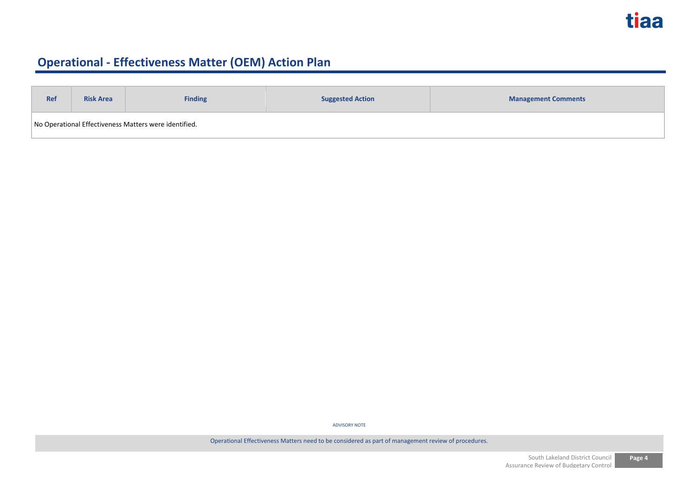| <b>Ref</b>                                            | <b>Risk Area</b> | <b>Finding</b> | <b>Suggested Action</b> | <b>Management Comments</b> |
|-------------------------------------------------------|------------------|----------------|-------------------------|----------------------------|
| No Operational Effectiveness Matters were identified. |                  |                |                         |                            |

ADVISORY NOTE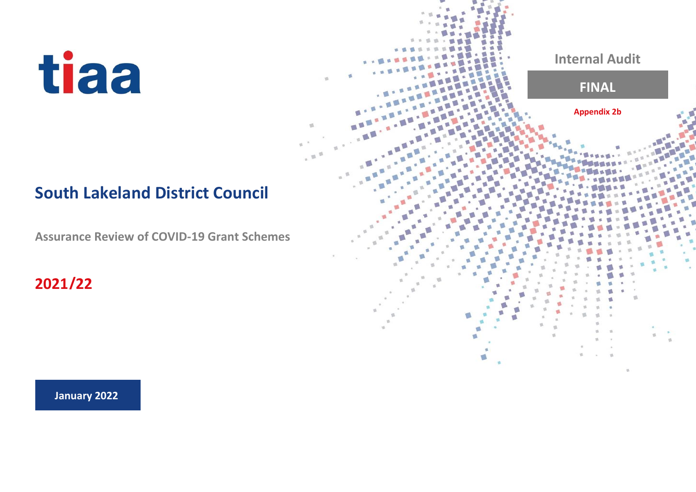## **South Lakeland District Council**

**Assurance Review of COVID-19 Grant Schemes**

**2021/22**

**January 2022**

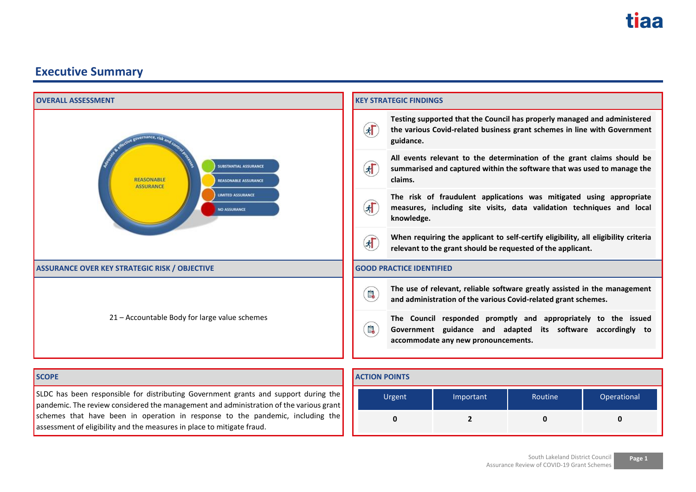| <b>OVERALL ASSESSMENT</b>                                                                                                                                                     | <b>KEY STRATEGIC FINDINGS</b> |                                                                                                                                                                                                  |           |                                                                                                                                              |             |  |
|-------------------------------------------------------------------------------------------------------------------------------------------------------------------------------|-------------------------------|--------------------------------------------------------------------------------------------------------------------------------------------------------------------------------------------------|-----------|----------------------------------------------------------------------------------------------------------------------------------------------|-------------|--|
| tective governance, risk and<br><b>SUBSTANTIAL ASSURANCE</b><br><b>REASONABLE</b><br><b>REASONABLE ASSURANCE</b>                                                              |                               | Testing supported that the Council has properly managed and administered<br>$\left( \mathbf{r} \right)$<br>the various Covid-related business grant schemes in line with Government<br>guidance. |           |                                                                                                                                              |             |  |
|                                                                                                                                                                               |                               | All events relevant to the determination of the grant claims should be<br>$\left( \mathbf{r} \right)$<br>summarised and captured within the software that was used to manage the<br>claims.      |           |                                                                                                                                              |             |  |
| <b>ASSURANCE</b><br><b>LIMITED ASSURANCE</b><br><b>NO ASSURANCE</b>                                                                                                           | $\left( \mathbf{r} \right)$   | knowledge.                                                                                                                                                                                       |           | The risk of fraudulent applications was mitigated using appropriate<br>measures, including site visits, data validation techniques and local |             |  |
|                                                                                                                                                                               |                               | When requiring the applicant to self-certify eligibility, all eligibility criteria<br>$\left( \mathbf{r} \right)$<br>relevant to the grant should be requested of the applicant.                 |           |                                                                                                                                              |             |  |
| <b>ASSURANCE OVER KEY STRATEGIC RISK / OBJECTIVE</b>                                                                                                                          |                               | <b>GOOD PRACTICE IDENTIFIED</b>                                                                                                                                                                  |           |                                                                                                                                              |             |  |
|                                                                                                                                                                               | B                             |                                                                                                                                                                                                  |           | The use of relevant, reliable software greatly assisted in the management<br>and administration of the various Covid-related grant schemes.  |             |  |
| 21 - Accountable Body for large value schemes                                                                                                                                 |                               | The Council responded promptly and appropriately to the issued<br>B<br>Government guidance and adapted its software accordingly to<br>accommodate any new pronouncements.                        |           |                                                                                                                                              |             |  |
| <b>SCOPE</b>                                                                                                                                                                  | <b>ACTION POINTS</b>          |                                                                                                                                                                                                  |           |                                                                                                                                              |             |  |
| SLDC has been responsible for distributing Government grants and support during the<br>pandemic. The review considered the management and administration of the various grant |                               | Urgent                                                                                                                                                                                           | Important | Routine                                                                                                                                      | Operational |  |
| schemes that have been in operation in response to the pandemic, including the<br>$\overline{2}$<br>0<br>0                                                                    |                               | 0                                                                                                                                                                                                |           |                                                                                                                                              |             |  |

assessment of eligibility and the measures in place to mitigate fraud.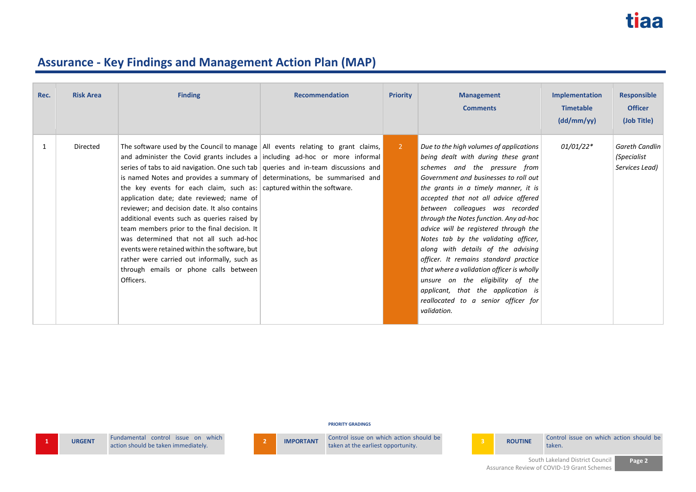| Rec. | <b>Risk Area</b> | <b>Finding</b>                                                                                                                                                                                                                                                                                                                                                                                                                                                                                                                                                                                                                                                                                                                                                                                                        | <b>Recommendation</b> | <b>Priority</b> | <b>Management</b><br><b>Comments</b>                                                                                                                                                                                                                                                                                                                                                                                                                                                                                                                                                                                                                               | <b>Implementation</b><br><b>Timetable</b><br>(dd/mm/yy) | <b>Responsible</b><br><b>Officer</b><br>(Job Title)    |
|------|------------------|-----------------------------------------------------------------------------------------------------------------------------------------------------------------------------------------------------------------------------------------------------------------------------------------------------------------------------------------------------------------------------------------------------------------------------------------------------------------------------------------------------------------------------------------------------------------------------------------------------------------------------------------------------------------------------------------------------------------------------------------------------------------------------------------------------------------------|-----------------------|-----------------|--------------------------------------------------------------------------------------------------------------------------------------------------------------------------------------------------------------------------------------------------------------------------------------------------------------------------------------------------------------------------------------------------------------------------------------------------------------------------------------------------------------------------------------------------------------------------------------------------------------------------------------------------------------------|---------------------------------------------------------|--------------------------------------------------------|
| 1    | Directed         | The software used by the Council to manage $\vert$ All events relating to grant claims,<br>and administer the Covid grants includes a including ad-hoc or more informal<br>series of tabs to aid navigation. One such tab   queries and in-team discussions and  <br>is named Notes and provides a summary of determinations, be summarised and<br>the key events for each claim, such as: captured within the software.<br>application date; date reviewed; name of<br>reviewer; and decision date. It also contains<br>additional events such as queries raised by<br>team members prior to the final decision. It<br>was determined that not all such ad-hoc<br>events were retained within the software, but<br>rather were carried out informally, such as<br>through emails or phone calls between<br>Officers. |                       | $\overline{2}$  | Due to the high volumes of applications<br>being dealt with during these grant<br>schemes and the pressure from<br>Government and businesses to roll out<br>the grants in a timely manner, it is<br>accepted that not all advice offered<br>between colleagues was recorded<br>through the Notes function. Any ad-hoc<br>advice will be registered through the<br>Notes tab by the validating officer,<br>along with details of the advising<br>officer. It remains standard practice<br>that where a validation officer is wholly<br>unsure on the eligibility of the<br>applicant, that the application is<br>reallocated to a senior officer for<br>validation. | $01/01/22*$                                             | <b>Gareth Candlin</b><br>(Specialist<br>Services Lead) |

**PRIORITY GRADINGS**

**2 IMPORTANT** CONTROL ISSUE ON WHICH **2 IMPORTANT** CONTROL ISSUE ON WHICH SHOWER CONTROL ISSUE ON WHICH ACTION SHOWER CONTROL ISSUE ON WHICH SHOWER CONTROL ISSUE ON WHICH SHOWER CONTROL ISSUE ON MEDICINE CONTROL ISSUE Control issue on which action should be **3 ROUTINE** Control issue on which action should be



taken.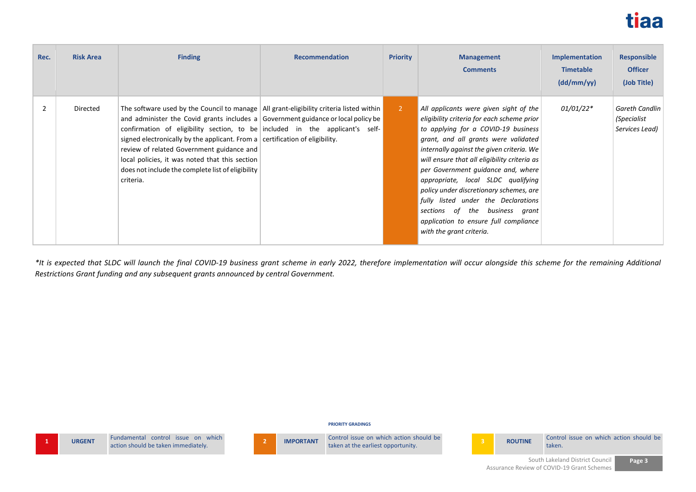

| Rec.           | <b>Risk Area</b> | <b>Finding</b>                                                                                                                                                                                                                                                                                                                                                                                                                                                                                                            | <b>Recommendation</b> | <b>Priority</b> | <b>Management</b><br><b>Comments</b>                                                                                                                                                                                                                                                                                                                                                                                                                                                                                                  | <b>Implementation</b><br><b>Timetable</b><br>(dd/mm/yy) | <b>Responsible</b><br><b>Officer</b><br>(Job Title) |
|----------------|------------------|---------------------------------------------------------------------------------------------------------------------------------------------------------------------------------------------------------------------------------------------------------------------------------------------------------------------------------------------------------------------------------------------------------------------------------------------------------------------------------------------------------------------------|-----------------------|-----------------|---------------------------------------------------------------------------------------------------------------------------------------------------------------------------------------------------------------------------------------------------------------------------------------------------------------------------------------------------------------------------------------------------------------------------------------------------------------------------------------------------------------------------------------|---------------------------------------------------------|-----------------------------------------------------|
| $\overline{2}$ | Directed         | The software used by the Council to manage $\vert$ All grant-eligibility criteria listed within<br>and administer the Covid grants includes a Government guidance or local policy be<br>confirmation of eligibility section, to be included in the applicant's self-<br>signed electronically by the applicant. From a $ $ certification of eligibility.<br>review of related Government guidance and<br>local policies, it was noted that this section<br>does not include the complete list of eligibility<br>criteria. |                       | $\overline{2}$  | All applicants were given sight of the<br>eligibility criteria for each scheme prior<br>to applying for a COVID-19 business<br>grant, and all grants were validated<br>internally against the given criteria. We<br>will ensure that all eligibility criteria as<br>per Government quidance and, where<br>appropriate, local SLDC qualifying<br>policy under discretionary schemes, are<br>fully listed under the Declarations<br>sections of the business grant<br>application to ensure full compliance<br>with the grant criteria. | $01/01/22*$                                             | Gareth Candlin<br>(Specialist<br>Services Lead)     |

*\*It is expected that SLDC will launch the final COVID-19 business grant scheme in early 2022, therefore implementation will occur alongside this scheme for the remaining Additional Restrictions Grant funding and any subsequent grants announced by central Government.*

#### **PRIORITY GRADINGS**

|               | Fundamental   |
|---------------|---------------|
| <b>URGENT</b> | action should |

**1 URGENT** Fundamental control issue on which action should be taken immediately.

Fundamental control issue on which **2 IMPORTANT** Control issue on which action should be **taken** at the earliest opportunity. **3 ROUTINE** Control issue on which action should be taken.

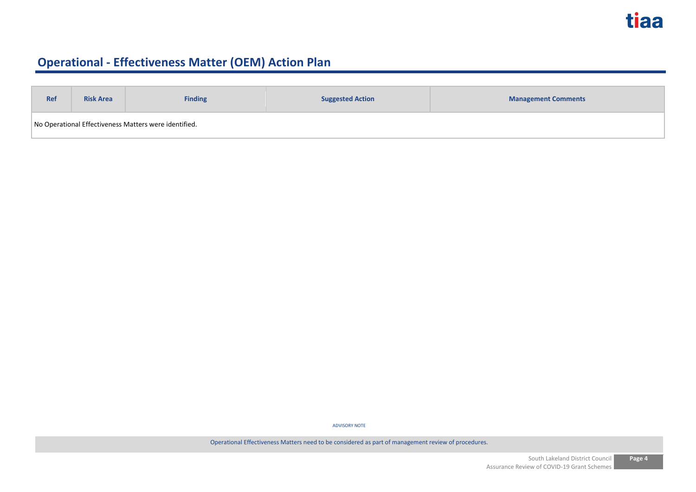| <b>Ref</b>                                            | <b>Risk Area</b> | <b>Finding</b> | <b>Suggested Action</b> | <b>Management Comments</b> |
|-------------------------------------------------------|------------------|----------------|-------------------------|----------------------------|
| No Operational Effectiveness Matters were identified. |                  |                |                         |                            |

ADVISORY NOTE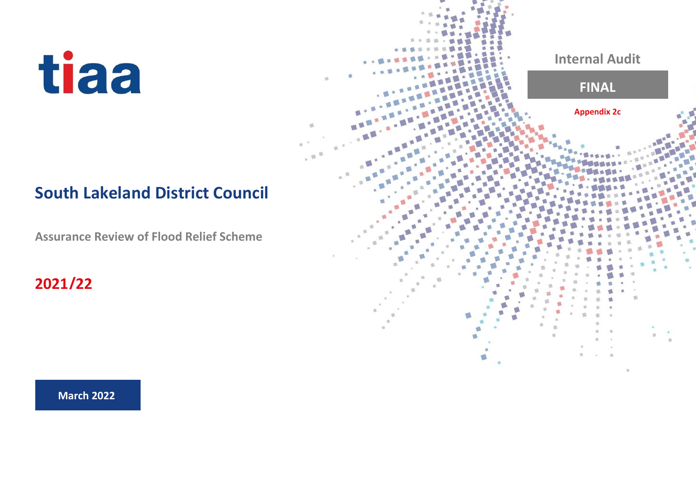## **South Lakeland District Council**

 $-10$ 

**Assurance Review of Flood Relief Scheme**

**2021/22**



**March 2022**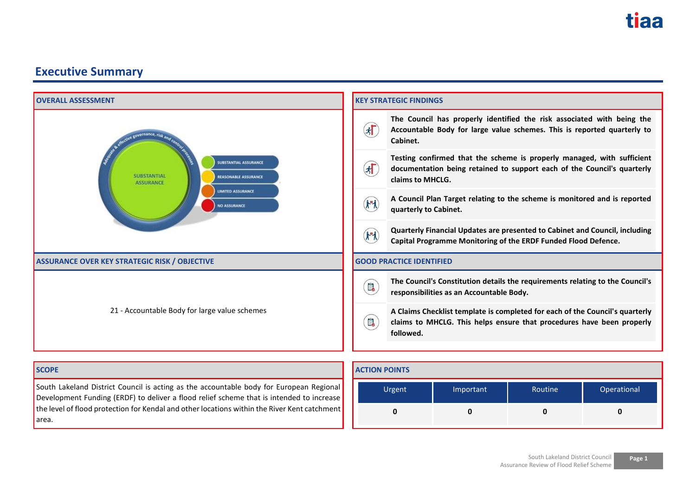| <b>OVERALL ASSESSMENT</b>                                                                                                                  | <b>KEY STRATEGIC FINDINGS</b>                                                                                                                                                                        |
|--------------------------------------------------------------------------------------------------------------------------------------------|------------------------------------------------------------------------------------------------------------------------------------------------------------------------------------------------------|
| cive governance, risk                                                                                                                      | The Council has properly identified the risk associated with being the<br>$\sqrt{2}$<br>Accountable Body for large value schemes. This is reported quarterly to<br>Cabinet.                          |
| <b>SUBSTANTIAL ASSURANCE</b><br><b>SUBSTANTIAL</b><br>REASONABLE ASSURANCE<br><b>ASSURANCE</b><br><b>LIMITED ASSURANCE</b><br>NO ASSURANCE | Testing confirmed that the scheme is properly managed, with sufficient<br>$\left( \mathbf{r} \right)$<br>documentation being retained to support each of the Council's quarterly<br>claims to MHCLG. |
|                                                                                                                                            | A Council Plan Target relating to the scheme is monitored and is reported<br>$(\mathbf{k}^n)$<br>quarterly to Cabinet.                                                                               |
|                                                                                                                                            | Quarterly Financial Updates are presented to Cabinet and Council, including<br>$(\mathbf{k}^n)$<br>Capital Programme Monitoring of the ERDF Funded Flood Defence.                                    |
| <b>ASSURANCE OVER KEY STRATEGIC RISK / OBJECTIVE</b>                                                                                       | <b>GOOD PRACTICE IDENTIFIED</b>                                                                                                                                                                      |
|                                                                                                                                            | The Council's Constitution details the requirements relating to the Council's<br>B<br>responsibilities as an Accountable Body.                                                                       |
| 21 - Accountable Body for large value schemes                                                                                              | A Claims Checklist template is completed for each of the Council's quarterly<br>$\blacksquare$<br>claims to MHCLG. This helps ensure that procedures have been properly<br>followed.                 |
| <b>SCOPE</b>                                                                                                                               | <b>ACTION POINTS</b>                                                                                                                                                                                 |

South Lakeland District Council is acting as the accountable body for European Regional Development Funding (ERDF) to deliver a flood relief scheme that is intended to increase the level of flood protection for Kendal and other locations within the River Kent catchment area.

| Urgent<br>Important |  | Routine | Operational |  |
|---------------------|--|---------|-------------|--|
|                     |  |         |             |  |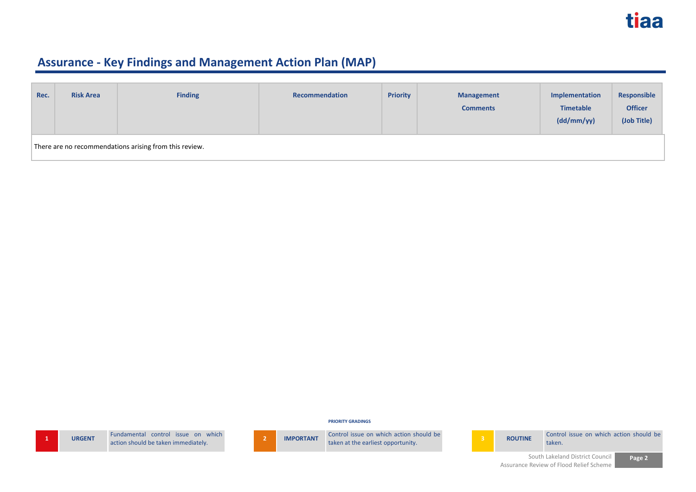| Rec. | <b>Risk Area</b>                                       | <b>Finding</b> | Recommendation | <b>Priority</b> | <b>Management</b><br><b>Comments</b> | Implementation<br><b>Timetable</b><br>(dd/mm/yy) | Responsible<br><b>Officer</b><br>(Job Title) |
|------|--------------------------------------------------------|----------------|----------------|-----------------|--------------------------------------|--------------------------------------------------|----------------------------------------------|
|      | There are no recommendations arising from this review. |                |                |                 |                                      |                                                  |                                              |

**PRIORITY GRADINGS**

| <b>URC</b> |
|------------|

**1 1 1 1 1 Eundamental control issue on which** action should be taken immediately.

**2 IMPORTANT** Control issue on which action should be taken at the earliest opportunity.



**ROUTINE** Control issue on which action should be taken.

> South Lakeland District Council Assurance Review of Flood Relief Scheme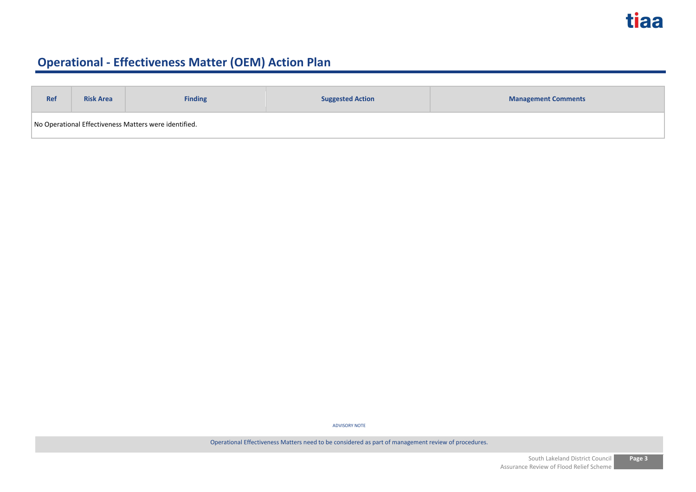| <b>Ref</b>                                            | <b>Suggested Action</b><br><b>Risk Area</b><br><b>Finding</b> |  | <b>Management Comments</b> |  |  |  |
|-------------------------------------------------------|---------------------------------------------------------------|--|----------------------------|--|--|--|
| No Operational Effectiveness Matters were identified. |                                                               |  |                            |  |  |  |

ADVISORY NOTE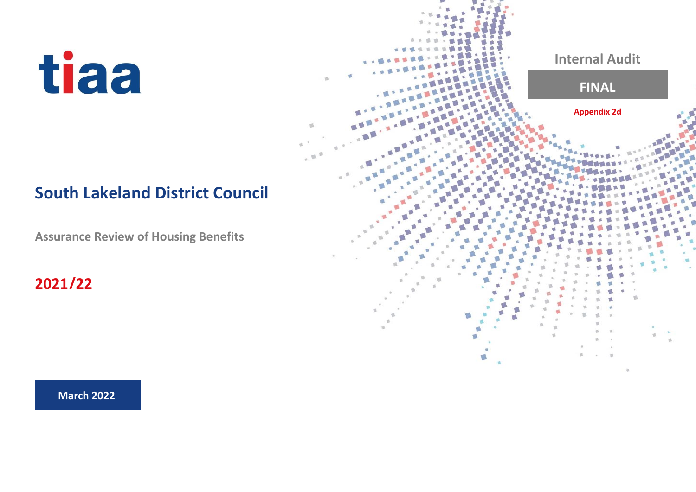## **South Lakeland District Council**

 $-10$ 

**Assurance Review of Housing Benefits**

**2021/22**



**March 2022**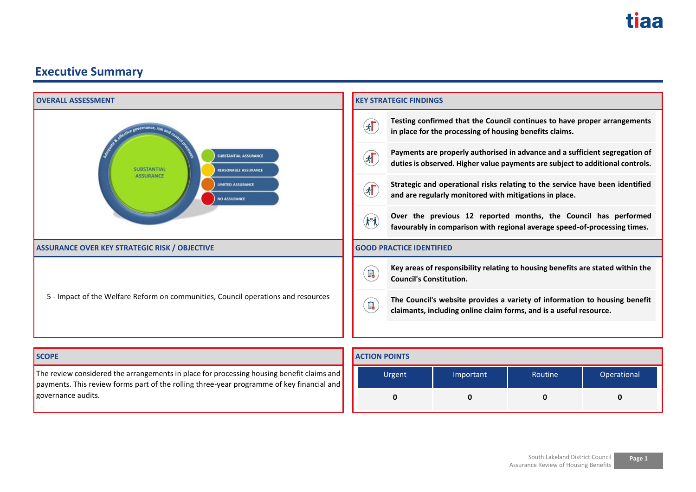

The review considered the arrangements in place for processing housing benefit claims and payments. This review forms part of the rolling three-year programme of key financial and governance audits.

| South Lakeland District Council      | Page 1 |
|--------------------------------------|--------|
| Assurance Review of Housing Benefits |        |

**0 0 0 0**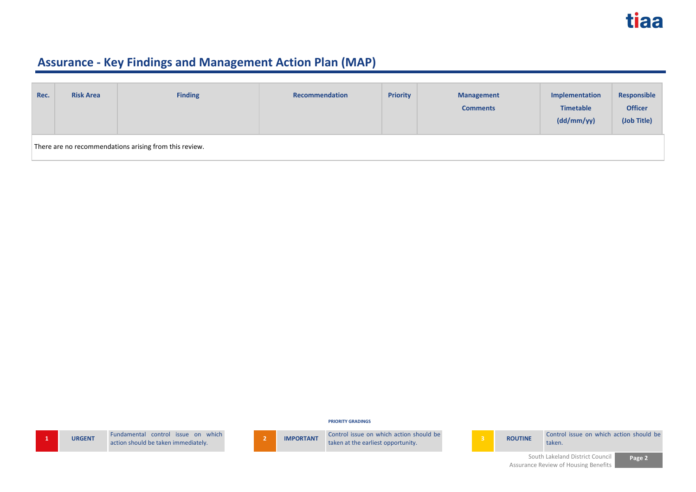| Rec. | <b>Risk Area</b>                                       | <b>Finding</b> | <b>Recommendation</b> | <b>Priority</b> | <b>Management</b><br><b>Comments</b> | Implementation<br><b>Timetable</b><br>(dd/mm/yy) | Responsible<br><b>Officer</b><br>(Job Title) |  |
|------|--------------------------------------------------------|----------------|-----------------------|-----------------|--------------------------------------|--------------------------------------------------|----------------------------------------------|--|
|      | There are no recommendations arising from this review. |                |                       |                 |                                      |                                                  |                                              |  |

**PRIORITY GRADINGS**

| 1 | UR <sub>1</sub> |
|---|-----------------|

**19 ISONT** Fundamental control issue on which Fundamental control issue on which<br>action should be taken immediately.<br>**2 IMPORTANT** Control issue on which action should be taken at the earliest opportunity.



**ROUTINE** Control issue on which action should be taken.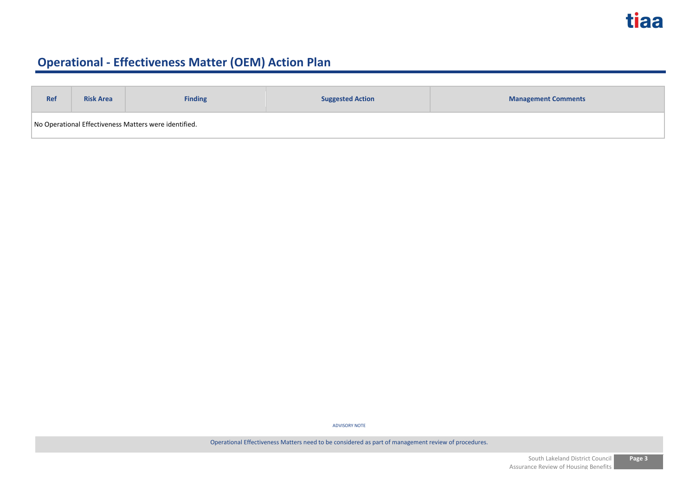| <b>Ref</b>                                            | <b>Suggested Action</b><br><b>Risk Area</b><br><b>Finding</b> |  | <b>Management Comments</b> |  |  |  |
|-------------------------------------------------------|---------------------------------------------------------------|--|----------------------------|--|--|--|
| No Operational Effectiveness Matters were identified. |                                                               |  |                            |  |  |  |

ADVISORY NOTE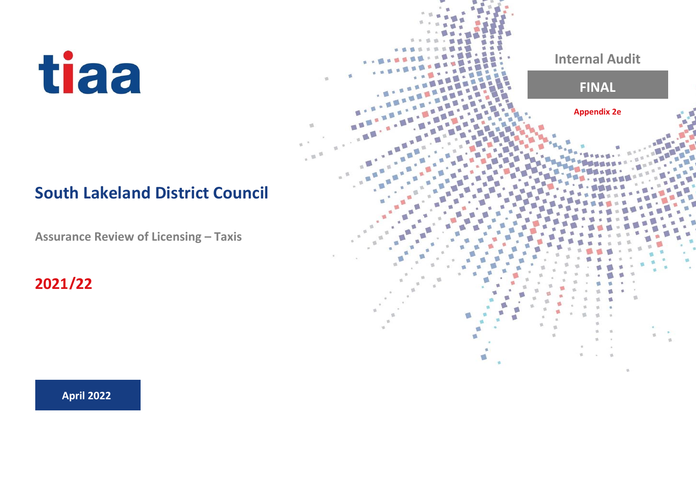## **South Lakeland District Council**

 $\overline{\mathfrak{m}}$ 

**Assurance Review of Licensing – Taxis**

**2021/22**



**April 2022**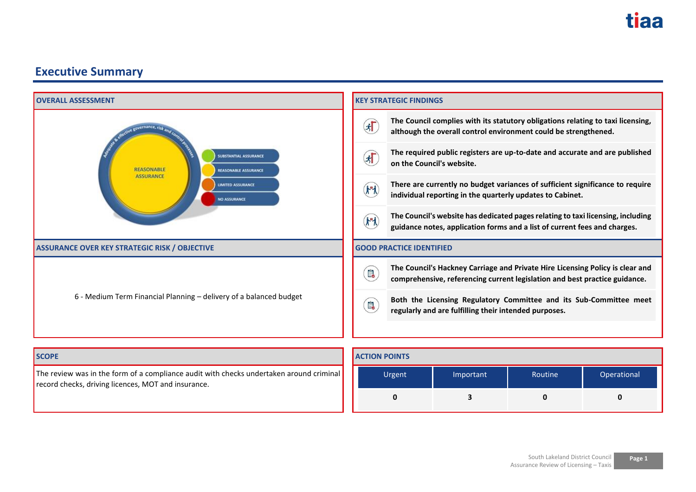

**0 3 0 0**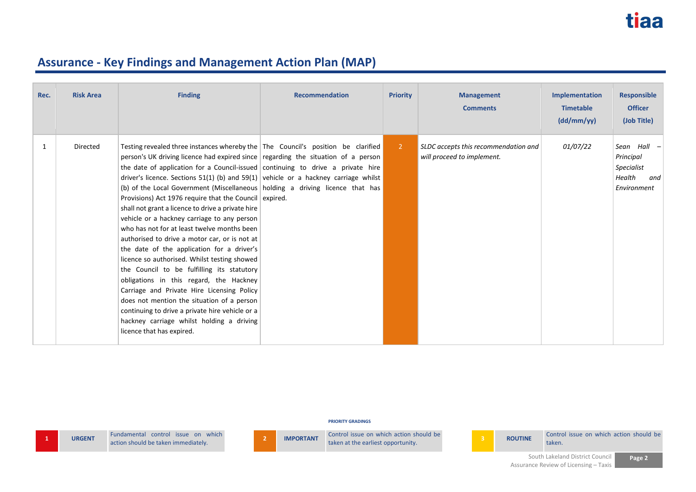| Rec. | <b>Risk Area</b> | <b>Finding</b>                                                                                                                                                                                                                                                                                                                                                                                                                                                                                                                                                                                                                                                                                                                                                                                                                                                                                                                                                                                                                                                                                                 | <b>Recommendation</b> | <b>Priority</b> | <b>Management</b><br><b>Comments</b>                                      | <b>Implementation</b><br><b>Timetable</b><br>(dd/mm/yy) | <b>Responsible</b><br><b>Officer</b><br>(Job Title)                    |
|------|------------------|----------------------------------------------------------------------------------------------------------------------------------------------------------------------------------------------------------------------------------------------------------------------------------------------------------------------------------------------------------------------------------------------------------------------------------------------------------------------------------------------------------------------------------------------------------------------------------------------------------------------------------------------------------------------------------------------------------------------------------------------------------------------------------------------------------------------------------------------------------------------------------------------------------------------------------------------------------------------------------------------------------------------------------------------------------------------------------------------------------------|-----------------------|-----------------|---------------------------------------------------------------------------|---------------------------------------------------------|------------------------------------------------------------------------|
| 1    | Directed         | Testing revealed three instances whereby the The Council's position be clarified<br>person's UK driving licence had expired since regarding the situation of a person<br>the date of application for a Council-issued continuing to drive a private hire<br>driver's licence. Sections 51(1) (b) and 59(1) vehicle or a hackney carriage whilst<br>(b) of the Local Government (Miscellaneous holding a driving licence that has<br>Provisions) Act 1976 require that the Council expired.<br>shall not grant a licence to drive a private hire<br>vehicle or a hackney carriage to any person<br>who has not for at least twelve months been<br>authorised to drive a motor car, or is not at<br>the date of the application for a driver's<br>licence so authorised. Whilst testing showed<br>the Council to be fulfilling its statutory<br>obligations in this regard, the Hackney<br>Carriage and Private Hire Licensing Policy<br>does not mention the situation of a person<br>continuing to drive a private hire vehicle or a<br>hackney carriage whilst holding a driving<br>licence that has expired. |                       | $\overline{2}$  | <b>SLDC</b> accepts this recommendation and<br>will proceed to implement. | <i>01/07/22</i>                                         | Sean Hall -<br>Principal<br>Specialist<br>Health<br>and<br>Environment |

#### **PRIORITY GRADINGS**

**1 URGENT Fundamental control issue on which** 

action should be taken immediately. **<sup>2</sup> IMPORTANT** Control issue on which action should be



Control issue on which action should be **3 ROUTINE** Control issue on which action should be taken.

> South Lakeland District Council Assurance Review of Licensing – Taxis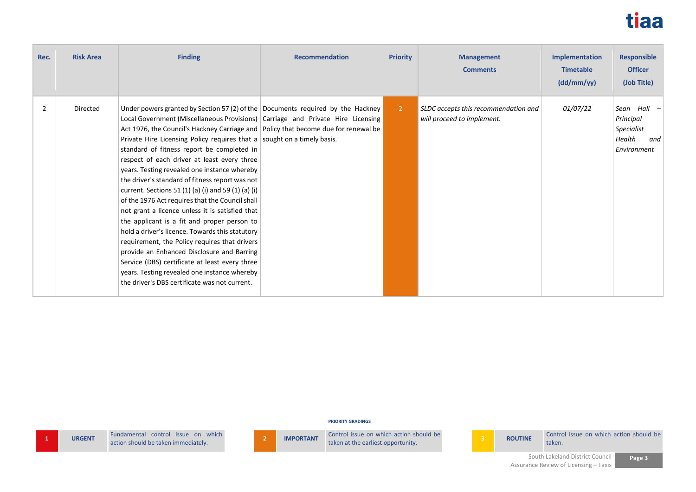

| Rec.           | <b>Risk Area</b> | <b>Finding</b>                                                                                                                                                                                                                                                                                                                                                                                                                                                                                                                                                                                                                                                                                                                                                                                                                                                                                                                                                                                                                                         | <b>Recommendation</b> | <b>Priority</b> | <b>Management</b><br><b>Comments</b>                               | Implementation<br><b>Timetable</b><br>(dd/mm/yy) | <b>Responsible</b><br><b>Officer</b><br>(Job Title)                    |
|----------------|------------------|--------------------------------------------------------------------------------------------------------------------------------------------------------------------------------------------------------------------------------------------------------------------------------------------------------------------------------------------------------------------------------------------------------------------------------------------------------------------------------------------------------------------------------------------------------------------------------------------------------------------------------------------------------------------------------------------------------------------------------------------------------------------------------------------------------------------------------------------------------------------------------------------------------------------------------------------------------------------------------------------------------------------------------------------------------|-----------------------|-----------------|--------------------------------------------------------------------|--------------------------------------------------|------------------------------------------------------------------------|
| $\overline{2}$ | Directed         | Under powers granted by Section 57 (2) of the Documents required by the Hackney<br>Local Government (Miscellaneous Provisions) Carriage and Private Hire Licensing<br>Act 1976, the Council's Hackney Carriage and   Policy that become due for renewal be<br>Private Hire Licensing Policy requires that a sought on a timely basis.<br>standard of fitness report be completed in<br>respect of each driver at least every three<br>years. Testing revealed one instance whereby<br>the driver's standard of fitness report was not<br>current. Sections 51 (1) (a) (i) and 59 (1) (a) (i)<br>of the 1976 Act requires that the Council shall<br>not grant a licence unless it is satisfied that<br>the applicant is a fit and proper person to<br>hold a driver's licence. Towards this statutory<br>requirement, the Policy requires that drivers<br>provide an Enhanced Disclosure and Barring<br>Service (DBS) certificate at least every three<br>years. Testing revealed one instance whereby<br>the driver's DBS certificate was not current. |                       | $\overline{2}$  | SLDC accepts this recommendation and<br>will proceed to implement. | 01/07/22                                         | Sean Hall -<br>Principal<br>Specialist<br>Health<br>and<br>Environment |

**PRIORITY GRADINGS**

**1 URGENT E LEADER Fundamental control** issue on which **action** should be taken immediately.



Fundamental control issue on which **2 IMPORTANT** Control issue on which action should be **taken** at the earliest opportunity. **3 ROUTINE** Control issue on which action should be taken. taken.

**Page 3**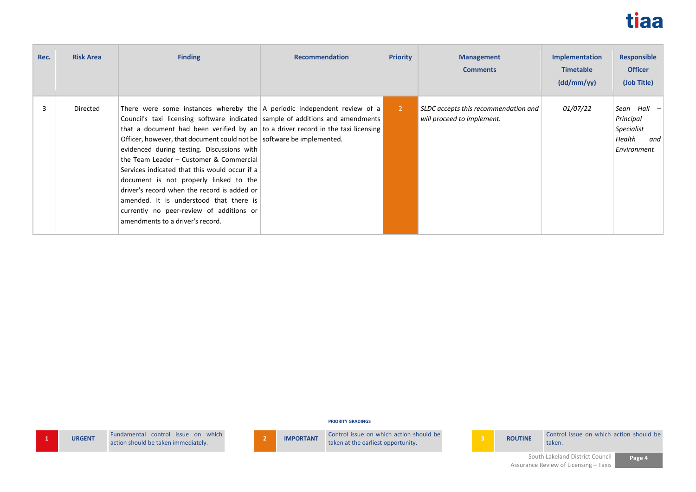

| Rec. | <b>Risk Area</b> | <b>Finding</b>                                                                                                                                                                                                                                                                                                                                                                                                                                                                                                                                                                                                                                                                                | <b>Recommendation</b> | <b>Priority</b> | <b>Management</b><br><b>Comments</b>                               | <b>Implementation</b><br><b>Timetable</b><br>(dd/mm/yy) | <b>Responsible</b><br><b>Officer</b><br>(Job Title)                  |
|------|------------------|-----------------------------------------------------------------------------------------------------------------------------------------------------------------------------------------------------------------------------------------------------------------------------------------------------------------------------------------------------------------------------------------------------------------------------------------------------------------------------------------------------------------------------------------------------------------------------------------------------------------------------------------------------------------------------------------------|-----------------------|-----------------|--------------------------------------------------------------------|---------------------------------------------------------|----------------------------------------------------------------------|
| 3    | Directed         | There were some instances whereby the $\vert$ A periodic independent review of a<br>Council's taxi licensing software indicated sample of additions and amendments<br>that a document had been verified by an to a driver record in the taxi licensing<br>Officer, however, that document could not be software be implemented.<br>evidenced during testing. Discussions with<br>the Team Leader - Customer & Commercial<br>Services indicated that this would occur if a<br>document is not properly linked to the<br>driver's record when the record is added or<br>amended. It is understood that there is<br>currently no peer-review of additions or<br>amendments to a driver's record. |                       | $\overline{2}$  | SLDC accepts this recommendation and<br>will proceed to implement. | <i>01/07/22</i>                                         | Sean Hall<br>Principal<br>Specialist<br>Health<br>and<br>Environment |

**PRIORITY GRADINGS**

**1 URGENT E**undamental control issue on which **action** should be taken immediately.



Fundamental control issue on which **2 IMPORTANT** Control issue on which action should be **taken** at the earliest opportunity. **3 ROUTINE** Control issue on which action should be taken. taken.

> South Lakeland District Council Assurance Review of Licensing – Taxis

**Page 4**